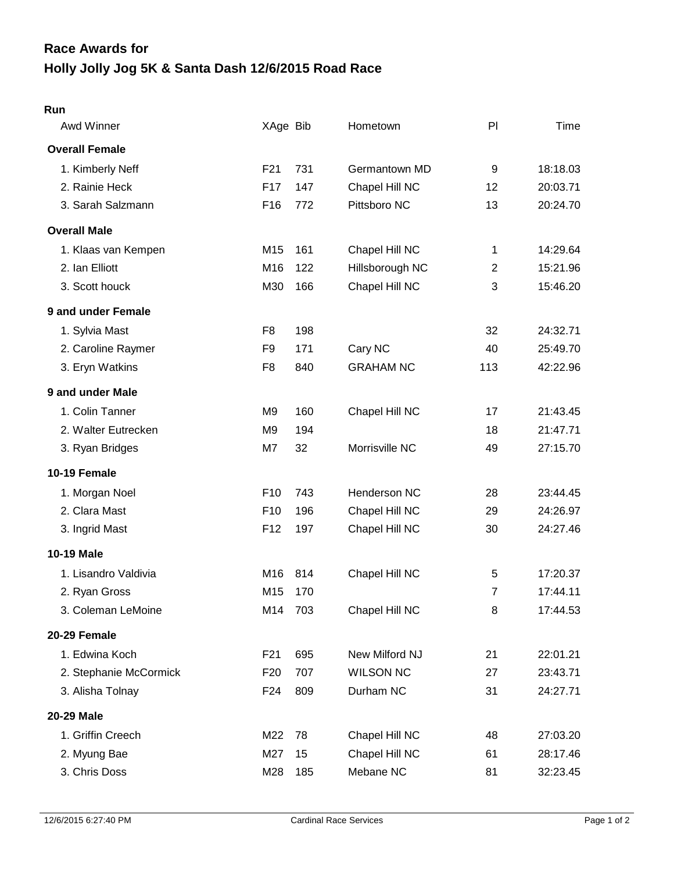## **Holly Jolly Jog 5K & Santa Dash 12/6/2015 Road Race Race Awards for**

## **Run**

| Awd Winner             | XAge Bib        |     | Hometown         | PI             | Time     |
|------------------------|-----------------|-----|------------------|----------------|----------|
| <b>Overall Female</b>  |                 |     |                  |                |          |
| 1. Kimberly Neff       | F21             | 731 | Germantown MD    | 9              | 18:18.03 |
| 2. Rainie Heck         | F17             | 147 | Chapel Hill NC   | 12             | 20:03.71 |
| 3. Sarah Salzmann      | F <sub>16</sub> | 772 | Pittsboro NC     | 13             | 20:24.70 |
| <b>Overall Male</b>    |                 |     |                  |                |          |
| 1. Klaas van Kempen    | M15             | 161 | Chapel Hill NC   | 1              | 14:29.64 |
| 2. Ian Elliott         | M16             | 122 | Hillsborough NC  | $\mathbf{2}$   | 15:21.96 |
| 3. Scott houck         | M30             | 166 | Chapel Hill NC   | 3              | 15:46.20 |
| 9 and under Female     |                 |     |                  |                |          |
| 1. Sylvia Mast         | F <sub>8</sub>  | 198 |                  | 32             | 24:32.71 |
| 2. Caroline Raymer     | F9              | 171 | Cary NC          | 40             | 25:49.70 |
| 3. Eryn Watkins        | F <sub>8</sub>  | 840 | <b>GRAHAM NC</b> | 113            | 42:22.96 |
| 9 and under Male       |                 |     |                  |                |          |
| 1. Colin Tanner        | M <sub>9</sub>  | 160 | Chapel Hill NC   | 17             | 21:43.45 |
| 2. Walter Eutrecken    | M <sub>9</sub>  | 194 |                  | 18             | 21:47.71 |
| 3. Ryan Bridges        | M7              | 32  | Morrisville NC   | 49             | 27:15.70 |
| 10-19 Female           |                 |     |                  |                |          |
| 1. Morgan Noel         | F10             | 743 | Henderson NC     | 28             | 23:44.45 |
| 2. Clara Mast          | F <sub>10</sub> | 196 | Chapel Hill NC   | 29             | 24:26.97 |
| 3. Ingrid Mast         | F <sub>12</sub> | 197 | Chapel Hill NC   | 30             | 24:27.46 |
| 10-19 Male             |                 |     |                  |                |          |
| 1. Lisandro Valdivia   | M16             | 814 | Chapel Hill NC   | $\sqrt{5}$     | 17:20.37 |
| 2. Ryan Gross          | M15             | 170 |                  | $\overline{7}$ | 17:44.11 |
| 3. Coleman LeMoine     | M14             | 703 | Chapel Hill NC   | 8              | 17:44.53 |
| 20-29 Female           |                 |     |                  |                |          |
| 1. Edwina Koch         | F <sub>21</sub> | 695 | New Milford NJ   | 21             | 22:01.21 |
| 2. Stephanie McCormick | F <sub>20</sub> | 707 | <b>WILSON NC</b> | 27             | 23:43.71 |
| 3. Alisha Tolnay       | F <sub>24</sub> | 809 | Durham NC        | 31             | 24:27.71 |
| 20-29 Male             |                 |     |                  |                |          |
| 1. Griffin Creech      | M22             | 78  | Chapel Hill NC   | 48             | 27:03.20 |
| 2. Myung Bae           | M27             | 15  | Chapel Hill NC   | 61             | 28:17.46 |
| 3. Chris Doss          | M28             | 185 | Mebane NC        | 81             | 32:23.45 |